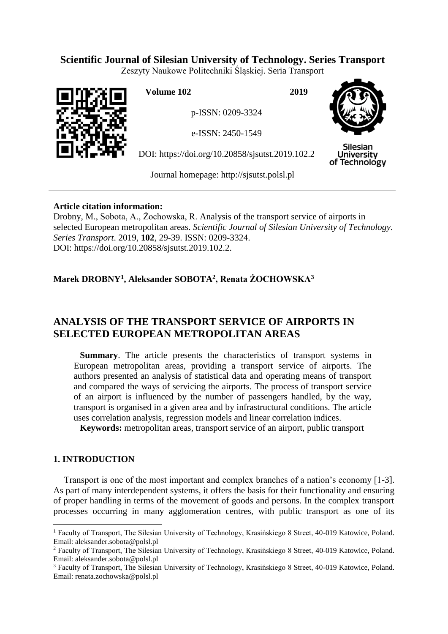## **Scientific Journal of Silesian University of Technology. Series Transport**

Zeszyty Naukowe Politechniki Śląskiej. Seria Transport



**Volume 102 2019**

p-ISSN: 0209-3324

e-ISSN: 2450-1549

DOI: https://doi.org/10.20858/sjsutst.2019.102.2



Silesian **University** of Technology

Journal homepage: [http://sjsutst.polsl.pl](http://sjsutst.polsl.pl/)

### **Article citation information:**

Drobny, M., Sobota, A., Żochowska, R. Analysis of the transport service of airports in selected European metropolitan areas. *Scientific Journal of Silesian University of Technology. Series Transport*. 2019, **102**, 29-39. ISSN: 0209-3324. DOI: https://doi.org/10.20858/sjsutst.2019.102.2.

# **Marek DROBNY<sup>1</sup> , Aleksander SOBOTA<sup>2</sup> , Renata ŻOCHOWSKA<sup>3</sup>**

# **ANALYSIS OF THE TRANSPORT SERVICE OF AIRPORTS IN SELECTED EUROPEAN METROPOLITAN AREAS**

**Summary**. The article presents the characteristics of transport systems in European metropolitan areas, providing a transport service of airports. The authors presented an analysis of statistical data and operating means of transport and compared the ways of servicing the airports. The process of transport service of an airport is influenced by the number of passengers handled, by the way, transport is organised in a given area and by infrastructural conditions. The article uses correlation analysis, regression models and linear correlation indices.

**Keywords:** metropolitan areas, transport service of an airport, public transport

## **1. INTRODUCTION**

 $\overline{a}$ 

Transport is one of the most important and complex branches of a nation's economy [1-3]. As part of many interdependent systems, it offers the basis for their functionality and ensuring of proper handling in terms of the movement of goods and persons. In the complex transport processes occurring in many agglomeration centres, with public transport as one of its

<sup>1</sup> Faculty of Transport, The Silesian University of Technology, Krasińskiego 8 Street, 40-019 Katowice, Poland. Email: aleksander.sobota@polsl.pl

<sup>&</sup>lt;sup>2</sup> Faculty of Transport, The Silesian University of Technology, Krasińskiego 8 Street, 40-019 Katowice, Poland. Email: aleksander.sobota@polsl.pl

<sup>&</sup>lt;sup>3</sup> Faculty of Transport, The Silesian University of Technology, Krasińskiego 8 Street, 40-019 Katowice, Poland. Email: renata.zochowska@polsl.pl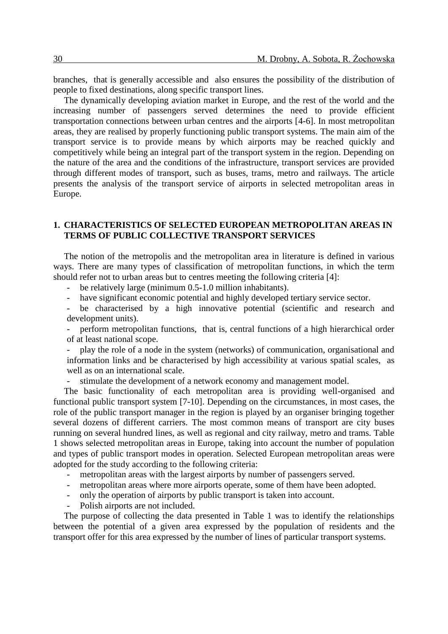branches, that is generally accessible and also ensures the possibility of the distribution of people to fixed destinations, along specific transport lines.

The dynamically developing aviation market in Europe, and the rest of the world and the increasing number of passengers served determines the need to provide efficient transportation connections between urban centres and the airports [4-6]. In most metropolitan areas, they are realised by properly functioning public transport systems. The main aim of the transport service is to provide means by which airports may be reached quickly and competitively while being an integral part of the transport system in the region. Depending on the nature of the area and the conditions of the infrastructure, transport services are provided through different modes of transport, such as buses, trams, metro and railways. The article presents the analysis of the transport service of airports in selected metropolitan areas in Europe.

#### **1. CHARACTERISTICS OF SELECTED EUROPEAN METROPOLITAN AREAS IN TERMS OF PUBLIC COLLECTIVE TRANSPORT SERVICES**

The notion of the metropolis and the metropolitan area in literature is defined in various ways. There are many types of classification of metropolitan functions, in which the term should refer not to urban areas but to centres meeting the following criteria [4]:

- be relatively large (minimum 0.5-1.0 million inhabitants).

- have significant economic potential and highly developed tertiary service sector.

be characterised by a high innovative potential (scientific and research and development units).

perform metropolitan functions, that is, central functions of a high hierarchical order of at least national scope.

- play the role of a node in the system (networks) of communication, organisational and information links and be characterised by high accessibility at various spatial scales, as well as on an international scale.

- stimulate the development of a network economy and management model.

The basic functionality of each metropolitan area is providing well-organised and functional public transport system [7-10]. Depending on the circumstances, in most cases, the role of the public transport manager in the region is played by an organiser bringing together several dozens of different carriers. The most common means of transport are city buses running on several hundred lines, as well as regional and city railway, metro and trams. Table 1 shows selected metropolitan areas in Europe, taking into account the number of population and types of public transport modes in operation. Selected European metropolitan areas were adopted for the study according to the following criteria:

- metropolitan areas with the largest airports by number of passengers served.
- metropolitan areas where more airports operate, some of them have been adopted.
- only the operation of airports by public transport is taken into account.
- Polish airports are not included.

The purpose of collecting the data presented in Table 1 was to identify the relationships between the potential of a given area expressed by the population of residents and the transport offer for this area expressed by the number of lines of particular transport systems.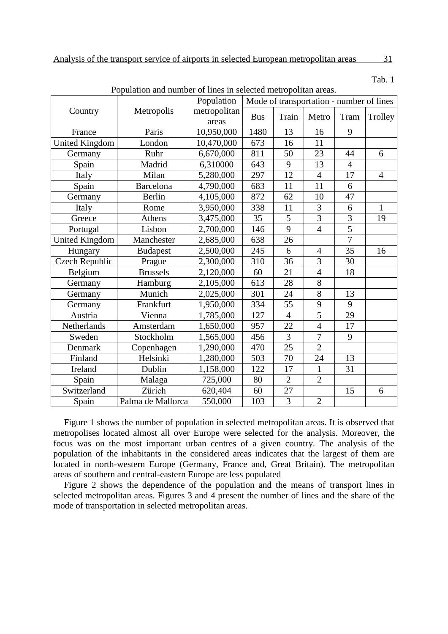Tab. 1

| Population and number of lines in selected metropolitan areas. |                   |              |                                          |                 |                |                |                |
|----------------------------------------------------------------|-------------------|--------------|------------------------------------------|-----------------|----------------|----------------|----------------|
|                                                                |                   | Population   | Mode of transportation - number of lines |                 |                |                |                |
| Country                                                        | Metropolis        | metropolitan | <b>Bus</b>                               | Train           |                |                |                |
|                                                                |                   | areas        |                                          |                 | Metro          | Tram           | Trolley        |
| France                                                         | Paris             | 10,950,000   | 1480                                     | 13              | 16             | 9              |                |
| <b>United Kingdom</b>                                          | London            | 10,470,000   | 673                                      | 16              | 11             |                |                |
| Germany                                                        | Ruhr              | 6,670,000    | 811                                      | 50              | 23             | 44             | 6              |
| Spain                                                          | Madrid            | 6,310000     | 643                                      | 9               | 13             | $\overline{4}$ |                |
| Italy                                                          | Milan             | 5,280,000    | 297                                      | 12              | $\overline{4}$ | 17             | $\overline{4}$ |
| Spain                                                          | <b>Barcelona</b>  | 4,790,000    | 683                                      | 11              | 11             | 6              |                |
| Germany                                                        | Berlin            | 4,105,000    | 872                                      | 62              | 10             | 47             |                |
| Italy                                                          | Rome              | 3,950,000    | 338                                      | 11              | 3              | 6              | 1              |
| Greece                                                         | Athens            | 3,475,000    | 35                                       | 5               | $\overline{3}$ | 3              | 19             |
| Portugal                                                       | Lisbon            | 2,700,000    | 146                                      | 9               | $\overline{4}$ | 5              |                |
| <b>United Kingdom</b>                                          | Manchester        | 2,685,000    | 638                                      | 26              |                | $\overline{7}$ |                |
| Hungary                                                        | <b>Budapest</b>   | 2,500,000    | 245                                      | 6               | $\overline{4}$ | 35             | 16             |
| <b>Czech Republic</b>                                          | Prague            | 2,300,000    | 310                                      | 36              | 3              | 30             |                |
| Belgium                                                        | <b>Brussels</b>   | 2,120,000    | 60                                       | 21              | $\overline{4}$ | 18             |                |
| Germany                                                        | Hamburg           | 2,105,000    | 613                                      | 28              | 8              |                |                |
| Germany                                                        | Munich            | 2,025,000    | 301                                      | 24              | $\overline{8}$ | 13             |                |
| Germany                                                        | Frankfurt         | 1,950,000    | 334                                      | 55              | 9              | 9              |                |
| Austria                                                        | Vienna            | 1,785,000    | 127                                      | $\overline{4}$  | 5              | 29             |                |
| Netherlands                                                    | Amsterdam         | 1,650,000    | 957                                      | 22              | $\overline{4}$ | 17             |                |
| Sweden                                                         | Stockholm         | 1,565,000    | 456                                      | $\overline{3}$  | $\overline{7}$ | 9              |                |
| Denmark                                                        | Copenhagen        | 1,290,000    | 470                                      | 25              | $\overline{2}$ |                |                |
| Finland                                                        | Helsinki          | 1,280,000    | 503                                      | 70              | 24             | 13             |                |
| Ireland                                                        | Dublin            | 1,158,000    | 122                                      | 17              | $\mathbf{1}$   | 31             |                |
| Spain                                                          | Malaga            | 725,000      | 80                                       | $\overline{2}$  | $\overline{2}$ |                |                |
| Switzerland                                                    | Zürich            | 620,404      | 60                                       | $\overline{27}$ |                | 15             | 6              |
| Spain                                                          | Palma de Mallorca | 550,000      | 103                                      | $\overline{3}$  | $\overline{2}$ |                |                |

Population and number of lines in selected metropolitan areas.

Figure 1 shows the number of population in selected metropolitan areas. It is observed that metropolises located almost all over Europe were selected for the analysis. Moreover, the focus was on the most important urban centres of a given country. The analysis of the population of the inhabitants in the considered areas indicates that the largest of them are located in north-western Europe (Germany, France and, Great Britain). The metropolitan areas of southern and central-eastern Europe are less populated

Figure 2 shows the dependence of the population and the means of transport lines in selected metropolitan areas. Figures 3 and 4 present the number of lines and the share of the mode of transportation in selected metropolitan areas.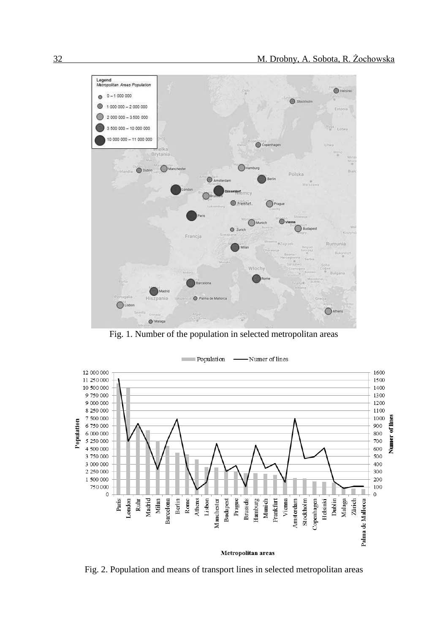

Fig. 1. Number of the population in selected metropolitan areas



Fig. 2. Population and means of transport lines in selected metropolitan areas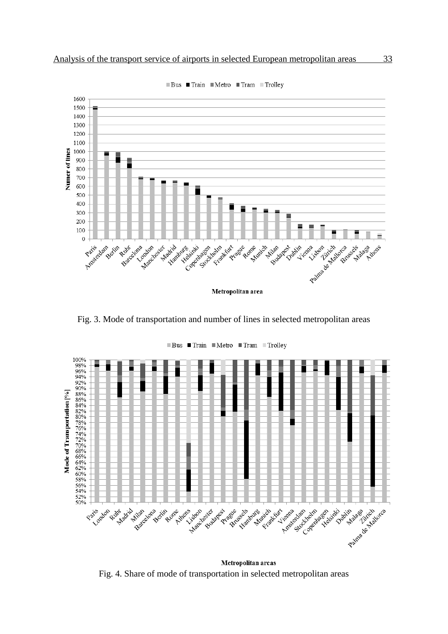

 $\blacksquare$  Bus  $\blacksquare$  Train  $\blacksquare$  Metro  $\blacksquare$  Tram  $\blacksquare$  Trolley

Fig. 3. Mode of transportation and number of lines in selected metropolitan areas



Metropolitan areas Fig. 4. Share of mode of transportation in selected metropolitan areas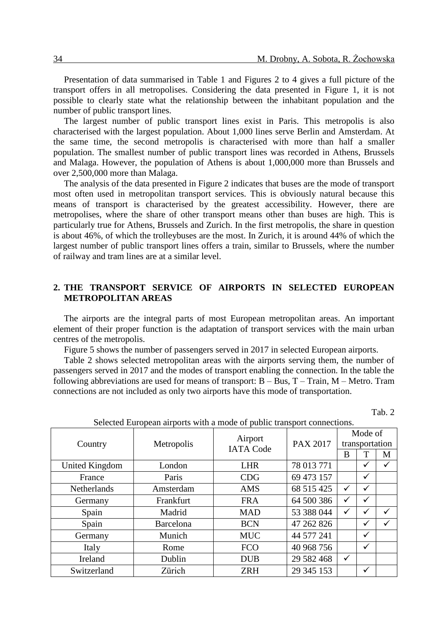Presentation of data summarised in Table 1 and Figures 2 to 4 gives a full picture of the transport offers in all metropolises. Considering the data presented in Figure 1, it is not possible to clearly state what the relationship between the inhabitant population and the number of public transport lines.

The largest number of public transport lines exist in Paris. This metropolis is also characterised with the largest population. About 1,000 lines serve Berlin and Amsterdam. At the same time, the second metropolis is characterised with more than half a smaller population. The smallest number of public transport lines was recorded in Athens, Brussels and Malaga. However, the population of Athens is about 1,000,000 more than Brussels and over 2,500,000 more than Malaga.

The analysis of the data presented in Figure 2 indicates that buses are the mode of transport most often used in metropolitan transport services. This is obviously natural because this means of transport is characterised by the greatest accessibility. However, there are metropolises, where the share of other transport means other than buses are high. This is particularly true for Athens, Brussels and Zurich. In the first metropolis, the share in question is about 46%, of which the trolleybuses are the most. In Zurich, it is around 44% of which the largest number of public transport lines offers a train, similar to Brussels, where the number of railway and tram lines are at a similar level.

## **2. THE TRANSPORT SERVICE OF AIRPORTS IN SELECTED EUROPEAN METROPOLITAN AREAS**

The airports are the integral parts of most European metropolitan areas. An important element of their proper function is the adaptation of transport services with the main urban centres of the metropolis.

Figure 5 shows the number of passengers served in 2017 in selected European airports.

Table 2 shows selected metropolitan areas with the airports serving them, the number of passengers served in 2017 and the modes of transport enabling the connection. In the table the following abbreviations are used for means of transport:  $B - Bus$ ,  $T - Train$ ,  $M - Metro$ . Tram connections are not included as only two airports have this mode of transportation.

Tab. 2

|                    | Science Laropean aliports with a mode of public transport connections.<br>Metropolis | Airport          |                 |                |                                                                                  |   |
|--------------------|--------------------------------------------------------------------------------------|------------------|-----------------|----------------|----------------------------------------------------------------------------------|---|
| Country            |                                                                                      |                  | <b>PAX 2017</b> | transportation |                                                                                  |   |
|                    |                                                                                      | <b>IATA Code</b> |                 | B              | Mode of<br>✓<br>$\checkmark$<br>$\checkmark$<br>$\checkmark$<br>✓<br>✓<br>✓<br>✓ | M |
| United Kingdom     | London                                                                               | <b>LHR</b>       | 78 013 771      |                |                                                                                  |   |
| France             | Paris                                                                                | <b>CDG</b>       | 69 473 157      |                |                                                                                  |   |
| <b>Netherlands</b> | Amsterdam                                                                            | <b>AMS</b>       | 68 515 425      | $\checkmark$   |                                                                                  |   |
| Germany            | Frankfurt                                                                            | <b>FRA</b>       | 64 500 386      | $\checkmark$   |                                                                                  |   |
| Spain              | Madrid                                                                               | <b>MAD</b>       | 53 388 044      | ✓              |                                                                                  |   |
| Spain              | Barcelona                                                                            | <b>BCN</b>       | 47 262 826      |                |                                                                                  |   |
| Germany            | Munich                                                                               | <b>MUC</b>       | 44 577 241      |                |                                                                                  |   |
| Italy              | Rome                                                                                 | <b>FCO</b>       | 40 968 756      |                |                                                                                  |   |
| Ireland            | Dublin                                                                               | <b>DUB</b>       | 29 582 468      | $\checkmark$   |                                                                                  |   |
| Switzerland        | Zürich                                                                               | <b>ZRH</b>       | 29 345 153      |                | $\checkmark$                                                                     |   |

Selected European airports with a mode of public transport connections.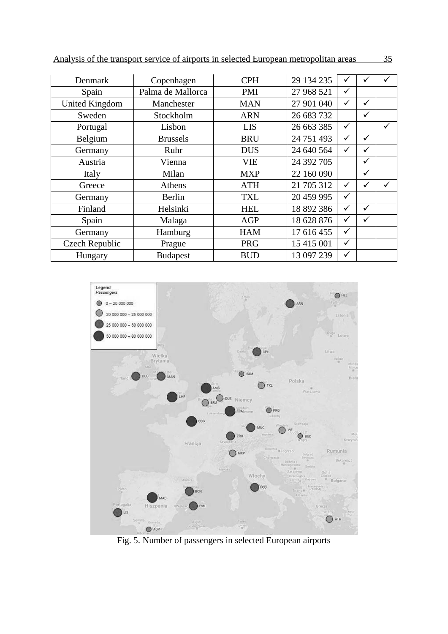|  |  | Analysis of the transport service of airports in selected European metropolitan areas |  |
|--|--|---------------------------------------------------------------------------------------|--|
|  |  |                                                                                       |  |

| Denmark        | Copenhagen        | <b>CPH</b> | 29 134 235 | ✓            | ✓            |              |
|----------------|-------------------|------------|------------|--------------|--------------|--------------|
| Spain          | Palma de Mallorca | <b>PMI</b> | 27 968 521 | ✓            |              |              |
| United Kingdom | Manchester        | <b>MAN</b> | 27 901 040 | $\checkmark$ | $\checkmark$ |              |
| Sweden         | Stockholm         | <b>ARN</b> | 26 683 732 |              | $\checkmark$ |              |
| Portugal       | Lisbon            | <b>LIS</b> | 26 663 385 | $\checkmark$ |              | $\checkmark$ |
| Belgium        | <b>Brussels</b>   | <b>BRU</b> | 24 751 493 | ✓            | ✓            |              |
| Germany        | Ruhr              | <b>DUS</b> | 24 640 564 | $\checkmark$ | $\checkmark$ |              |
| Austria        | Vienna            | <b>VIE</b> | 24 392 705 |              | ✓            |              |
| Italy          | Milan             | <b>MXP</b> | 22 160 090 |              | $\checkmark$ |              |
| Greece         | Athens            | <b>ATH</b> | 21 705 312 | $\checkmark$ | ✓            | $\checkmark$ |
| Germany        | Berlin            | <b>TXL</b> | 20 459 995 | $\checkmark$ |              |              |
| Finland        | Helsinki          | <b>HEL</b> | 18 892 386 | $\checkmark$ | ✓            |              |
| Spain          | Malaga            | <b>AGP</b> | 18 628 876 | $\checkmark$ | $\checkmark$ |              |
| Germany        | Hamburg           | <b>HAM</b> | 17 616 455 | $\checkmark$ |              |              |
| Czech Republic | Prague            | <b>PRG</b> | 15 415 001 | $\checkmark$ |              |              |
| Hungary        | <b>Budapest</b>   | <b>BUD</b> | 13 097 239 | $\checkmark$ |              |              |



Fig. 5. Number of passengers in selected European airports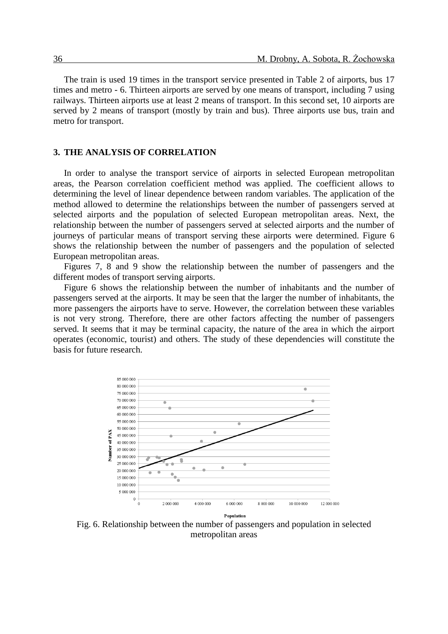The train is used 19 times in the transport service presented in Table 2 of airports, bus 17 times and metro - 6. Thirteen airports are served by one means of transport, including 7 using railways. Thirteen airports use at least 2 means of transport. In this second set, 10 airports are served by 2 means of transport (mostly by train and bus). Three airports use bus, train and metro for transport.

#### **3. THE ANALYSIS OF CORRELATION**

In order to analyse the transport service of airports in selected European metropolitan areas, the Pearson correlation coefficient method was applied. The coefficient allows to determining the level of linear dependence between random variables. The application of the method allowed to determine the relationships between the number of passengers served at selected airports and the population of selected European metropolitan areas. Next, the relationship between the number of passengers served at selected airports and the number of journeys of particular means of transport serving these airports were determined. Figure 6 shows the relationship between the number of passengers and the population of selected European metropolitan areas.

Figures 7, 8 and 9 show the relationship between the number of passengers and the different modes of transport serving airports.

Figure 6 shows the relationship between the number of inhabitants and the number of passengers served at the airports. It may be seen that the larger the number of inhabitants, the more passengers the airports have to serve. However, the correlation between these variables is not very strong. Therefore, there are other factors affecting the number of passengers served. It seems that it may be terminal capacity, the nature of the area in which the airport operates (economic, tourist) and others. The study of these dependencies will constitute the basis for future research.



Fig. 6. Relationship between the number of passengers and population in selected metropolitan areas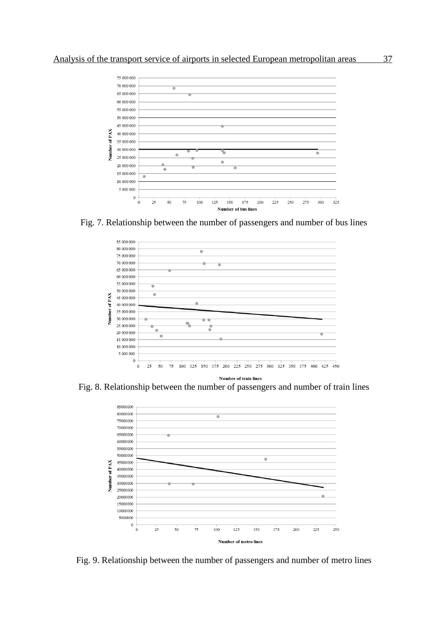

Fig. 7. Relationship between the number of passengers and number of bus lines



Fig. 8. Relationship between the number of passengers and number of train lines



Fig. 9. Relationship between the number of passengers and number of metro lines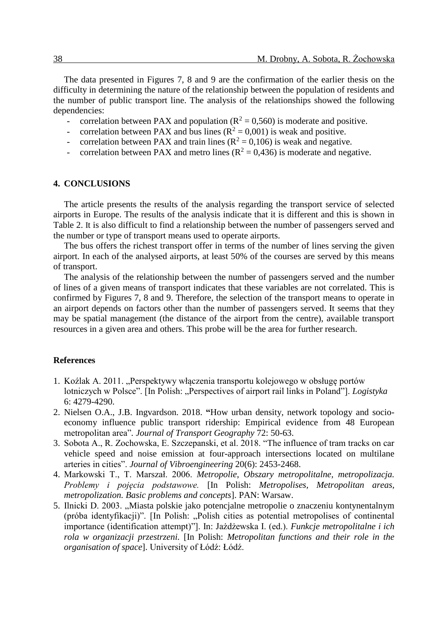The data presented in Figures 7, 8 and 9 are the confirmation of the earlier thesis on the difficulty in determining the nature of the relationship between the population of residents and the number of public transport line. The analysis of the relationships showed the following dependencies:

- correlation between PAX and population ( $R^2 = 0.560$ ) is moderate and positive.
- correlation between PAX and bus lines ( $R^2 = 0.001$ ) is weak and positive.
- correlation between PAX and train lines  $(R^2 = 0.106)$  is weak and negative.
- correlation between PAX and metro lines ( $R^2 = 0.436$ ) is moderate and negative.

#### **4. CONCLUSIONS**

The article presents the results of the analysis regarding the transport service of selected airports in Europe. The results of the analysis indicate that it is different and this is shown in Table 2. It is also difficult to find a relationship between the number of passengers served and the number or type of transport means used to operate airports.

The bus offers the richest transport offer in terms of the number of lines serving the given airport. In each of the analysed airports, at least 50% of the courses are served by this means of transport.

The analysis of the relationship between the number of passengers served and the number of lines of a given means of transport indicates that these variables are not correlated. This is confirmed by Figures 7, 8 and 9. Therefore, the selection of the transport means to operate in an airport depends on factors other than the number of passengers served. It seems that they may be spatial management (the distance of the airport from the centre), available transport resources in a given area and others. This probe will be the area for further research.

#### **References**

- 1. Koźlak A. 2011. "Perspektywy włączenia transportu kolejowego w obsługę portów lotniczych w Polsce". [In Polish: "Perspectives of airport rail links in Poland"]. *Logistyka* 6: 4279-4290.
- 2. Nielsen O.A., J.B. Ingvardson. 2018. **"**How urban density, network topology and socioeconomy influence public transport ridership: Empirical evidence from 48 European metropolitan area"*. Journal of Transport Geography* 72: 50-63.
- 3. Sobota A., R. Zochowska, E. Szczepanski, et al. 2018. "The influence of tram tracks on car vehicle speed and noise emission at four-approach intersections located on multilane arteries in cities". *Journal of Vibroengineering* 20(6): 2453-2468.
- 4. Markowski T., T. Marszał. 2006. *Metropolie*, *Obszary metropolitalne, metropolizacja. Problemy i pojęcia podstawowe.* [In Polish: *Metropolises, Metropolitan areas, metropolization. Basic problems and concepts*]. PAN: Warsaw.
- 5. Ilnicki D. 2003. "Miasta polskie jako potencjalne metropolie o znaczeniu kontynentalnym (próba identyfikacji)". [In Polish: "Polish cities as potential metropolises of continental importance (identification attempt)"]. In: Jażdżewska I. (ed.). *Funkcje metropolitalne i ich rola w organizacji przestrzeni.* [In Polish: *Metropolitan functions and their role in the organisation of space*]. University of Łódź: Łódź.